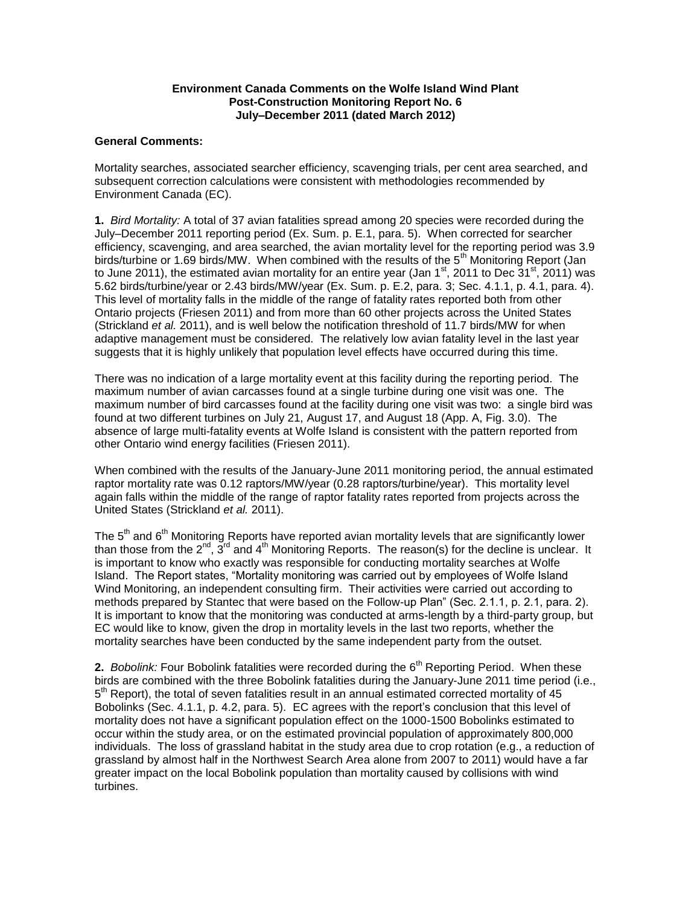## **Environment Canada Comments on the Wolfe Island Wind Plant Post-Construction Monitoring Report No. 6 July–December 2011 (dated March 2012)**

## **General Comments:**

Mortality searches, associated searcher efficiency, scavenging trials, per cent area searched, and subsequent correction calculations were consistent with methodologies recommended by Environment Canada (EC).

**1.** *Bird Mortality:* A total of 37 avian fatalities spread among 20 species were recorded during the July–December 2011 reporting period (Ex. Sum. p. E.1, para. 5). When corrected for searcher efficiency, scavenging, and area searched, the avian mortality level for the reporting period was 3.9 birds/turbine or 1.69 birds/MW. When combined with the results of the 5<sup>th</sup> Monitoring Report (Jan to June 2011), the estimated avian mortality for an entire year (Jan 1<sup>st</sup>, 2011 to Dec 31<sup>st</sup>, 2011) was 5.62 birds/turbine/year or 2.43 birds/MW/year (Ex. Sum. p. E.2, para. 3; Sec. 4.1.1, p. 4.1, para. 4). This level of mortality falls in the middle of the range of fatality rates reported both from other Ontario projects (Friesen 2011) and from more than 60 other projects across the United States (Strickland *et al.* 2011), and is well below the notification threshold of 11.7 birds/MW for when adaptive management must be considered. The relatively low avian fatality level in the last year suggests that it is highly unlikely that population level effects have occurred during this time.

There was no indication of a large mortality event at this facility during the reporting period. The maximum number of avian carcasses found at a single turbine during one visit was one. The maximum number of bird carcasses found at the facility during one visit was two: a single bird was found at two different turbines on July 21, August 17, and August 18 (App. A, Fig. 3.0). The absence of large multi-fatality events at Wolfe Island is consistent with the pattern reported from other Ontario wind energy facilities (Friesen 2011).

When combined with the results of the January-June 2011 monitoring period, the annual estimated raptor mortality rate was 0.12 raptors/MW/year (0.28 raptors/turbine/year). This mortality level again falls within the middle of the range of raptor fatality rates reported from projects across the United States (Strickland *et al.* 2011).

The  $5<sup>th</sup>$  and  $6<sup>th</sup>$  Monitoring Reports have reported avian mortality levels that are significantly lower than those from the  $2^{nd}$ ,  $3^{rd}$  and  $4^{th}$  Monitoring Reports. The reason(s) for the decline is unclear. It is important to know who exactly was responsible for conducting mortality searches at Wolfe Island. The Report states, "Mortality monitoring was carried out by employees of Wolfe Island Wind Monitoring, an independent consulting firm. Their activities were carried out according to methods prepared by Stantec that were based on the Follow-up Plan" (Sec. 2.1.1, p. 2.1, para. 2). It is important to know that the monitoring was conducted at arms-length by a third-party group, but EC would like to know, given the drop in mortality levels in the last two reports, whether the mortality searches have been conducted by the same independent party from the outset.

**2.** *Bobolink:* Four Bobolink fatalities were recorded during the 6<sup>th</sup> Reporting Period. When these birds are combined with the three Bobolink fatalities during the January-June 2011 time period (i.e., 5<sup>th</sup> Report), the total of seven fatalities result in an annual estimated corrected mortality of 45 Bobolinks (Sec. 4.1.1, p. 4.2, para. 5). EC agrees with the report's conclusion that this level of mortality does not have a significant population effect on the 1000-1500 Bobolinks estimated to occur within the study area, or on the estimated provincial population of approximately 800,000 individuals. The loss of grassland habitat in the study area due to crop rotation (e.g., a reduction of grassland by almost half in the Northwest Search Area alone from 2007 to 2011) would have a far greater impact on the local Bobolink population than mortality caused by collisions with wind turbines.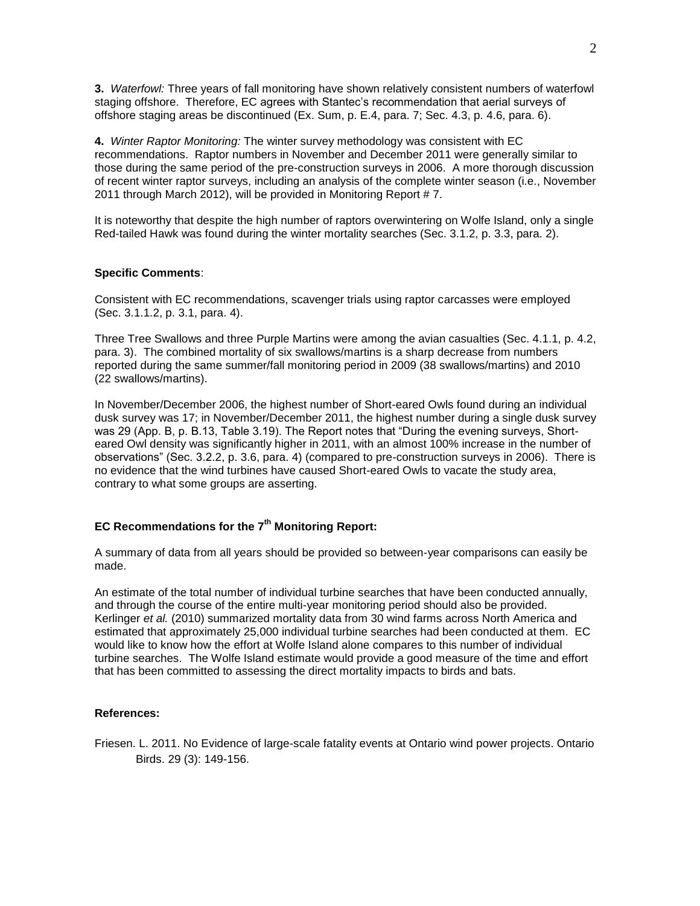**3.** *Waterfowl:* Three years of fall monitoring have shown relatively consistent numbers of waterfowl staging offshore. Therefore, EC agrees with Stantec's recommendation that aerial surveys of offshore staging areas be discontinued (Ex. Sum, p. E.4, para. 7; Sec. 4.3, p. 4.6, para. 6).

**4.** *Winter Raptor Monitoring:* The winter survey methodology was consistent with EC recommendations. Raptor numbers in November and December 2011 were generally similar to those during the same period of the pre-construction surveys in 2006. A more thorough discussion of recent winter raptor surveys, including an analysis of the complete winter season (i.e., November 2011 through March 2012), will be provided in Monitoring Report #7.

It is noteworthy that despite the high number of raptors overwintering on Wolfe Island, only a single Red-tailed Hawk was found during the winter mortality searches (Sec. 3.1.2, p. 3.3, para. 2).

### **Specific Comments**:

Consistent with EC recommendations, scavenger trials using raptor carcasses were employed (Sec. 3.1.1.2, p. 3.1, para. 4).

Three Tree Swallows and three Purple Martins were among the avian casualties (Sec. 4.1.1, p. 4.2, para. 3). The combined mortality of six swallows/martins is a sharp decrease from numbers reported during the same summer/fall monitoring period in 2009 (38 swallows/martins) and 2010 (22 swallows/martins).

In November/December 2006, the highest number of Short-eared Owls found during an individual dusk survey was 17; in November/December 2011, the highest number during a single dusk survey was 29 (App. B, p. B.13, Table 3.19). The Report notes that "During the evening surveys, Shorteared Owl density was significantly higher in 2011, with an almost 100% increase in the number of observations" (Sec. 3.2.2, p. 3.6, para. 4) (compared to pre-construction surveys in 2006). There is no evidence that the wind turbines have caused Short-eared Owls to vacate the study area, contrary to what some groups are asserting.

# **EC Recommendations for the 7th Monitoring Report:**

A summary of data from all years should be provided so between-year comparisons can easily be made.

An estimate of the total number of individual turbine searches that have been conducted annually, and through the course of the entire multi-year monitoring period should also be provided. Kerlinger *et al.* (2010) summarized mortality data from 30 wind farms across North America and estimated that approximately 25,000 individual turbine searches had been conducted at them. EC would like to know how the effort at Wolfe Island alone compares to this number of individual turbine searches. The Wolfe Island estimate would provide a good measure of the time and effort that has been committed to assessing the direct mortality impacts to birds and bats.

#### **References:**

Friesen. L. 2011. No Evidence of large-scale fatality events at Ontario wind power projects. Ontario Birds. 29 (3): 149-156.